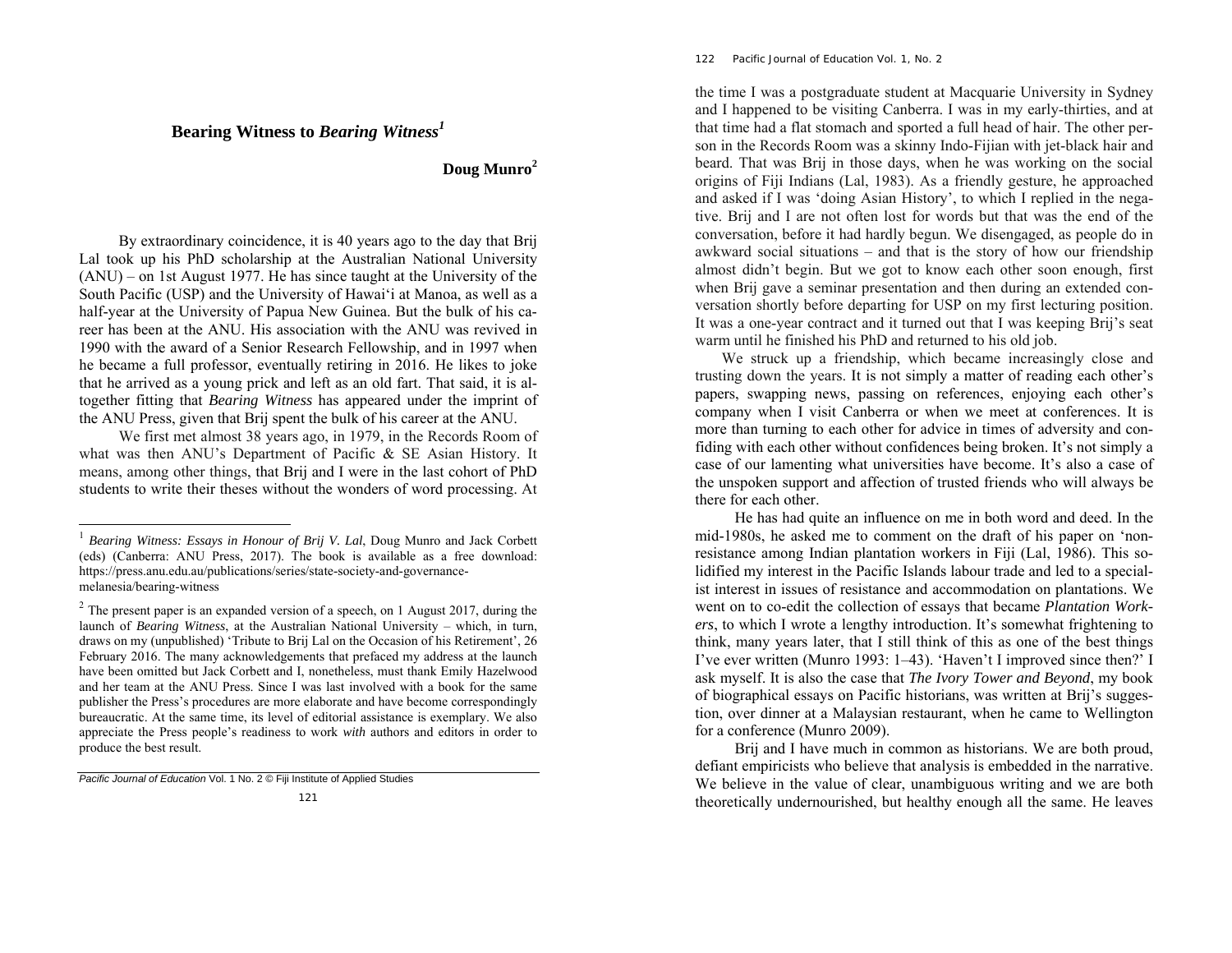# **Bearing Witness to** *Bearing Witness<sup>1</sup>*

# **Doug Munro<sup>2</sup>**

By extraordinary coincidence, it is 40 years ago to the day that Brij Lal took up his PhD scholarship at the Australian National University (ANU) – on 1st August 1977. He has since taught at the University of the South Pacific (USP) and the University of Hawai'i at Manoa, as well as a half-year at the University of Papua New Guinea. But the bulk of his career has been at the ANU. His association with the ANU was revived in 1990 with the award of a Senior Research Fellowship, and in 1997 when he became a full professor, eventually retiring in 2016. He likes to joke that he arrived as a young prick and left as an old fart. That said, it is altogether fitting that *Bearing Witness* has appeared under the imprint of the ANU Press, given that Brij spent the bulk of his career at the ANU.

We first met almost 38 years ago, in 1979, in the Records Room of what was then ANU's Department of Pacific & SE Asian History. It means, among other things, that Brij and I were in the last cohort of PhD students to write their theses without the wonders of word processing. At

#### 122 *Pacific Journal of Education Vol. 1, No. 2*

the time I was a postgraduate student at Macquarie University in Sydney and I happened to be visiting Canberra. I was in my early-thirties, and at that time had a flat stomach and sported a full head of hair. The other person in the Records Room was a skinny Indo-Fijian with jet-black hair and beard. That was Brij in those days, when he was working on the social origins of Fiji Indians (Lal, 1983). As a friendly gesture, he approached and asked if I was 'doing Asian History', to which I replied in the negative. Brij and I are not often lost for words but that was the end of the conversation, before it had hardly begun. We disengaged, as people do in awkward social situations – and that is the story of how our friendship almost didn't begin. But we got to know each other soon enough, first when Brij gave a seminar presentation and then during an extended conversation shortly before departing for USP on my first lecturing position. It was a one-year contract and it turned out that I was keeping Brij's seat warm until he finished his PhD and returned to his old job.

We struck up a friendship, which became increasingly close and trusting down the years. It is not simply a matter of reading each other's papers, swapping news, passing on references, enjoying each other's company when I visit Canberra or when we meet at conferences. It is more than turning to each other for advice in times of adversity and confiding with each other without confidences being broken. It's not simply a case of our lamenting what universities have become. It's also a case of the unspoken support and affection of trusted friends who will always be there for each other.

He has had quite an influence on me in both word and deed. In the mid-1980s, he asked me to comment on the draft of his paper on 'nonresistance among Indian plantation workers in Fiji (Lal, 1986). This solidified my interest in the Pacific Islands labour trade and led to a specialist interest in issues of resistance and accommodation on plantations. We went on to co-edit the collection of essays that became *Plantation Workers*, to which I wrote a lengthy introduction. It's somewhat frightening to think, many years later, that I still think of this as one of the best things I've ever written (Munro 1993: 1–43). 'Haven't I improved since then?' I ask myself. It is also the case that *The Ivory Tower and Beyond*, my book of biographical essays on Pacific historians, was written at Brij's suggestion, over dinner at a Malaysian restaurant, when he came to Wellington for a conference (Munro 2009).

Brij and I have much in common as historians. We are both proud, defiant empiricists who believe that analysis is embedded in the narrative. We believe in the value of clear, unambiguous writing and we are both theoretically undernourished, but healthy enough all the same. He leaves

<sup>1</sup> *Bearing Witness: Essays in Honour of Brij V. Lal*, Doug Munro and Jack Corbett (eds) (Canberra: ANU Press, 2017). The book is available as a free download: https://press.anu.edu.au/publications/series/state-society-and-governancemelanesia/bearing-witness

 $2^2$  The present paper is an expanded version of a speech, on 1 August 2017, during the launch of *Bearing Witness*, at the Australian National University – which, in turn, draws on my (unpublished) 'Tribute to Brij Lal on the Occasion of his Retirement', 26 February 2016. The many acknowledgements that prefaced my address at the launch have been omitted but Jack Corbett and I, nonetheless, must thank Emily Hazelwood and her team at the ANU Press. Since I was last involved with a book for the same publisher the Press's procedures are more elaborate and have become correspondingly bureaucratic. At the same time, its level of editorial assistance is exemplary. We also appreciate the Press people's readiness to work *with* authors and editors in order to produce the best result.

*Pacific Journal of Education* Vol. 1 No. 2 © Fiji Institute of Applied Studies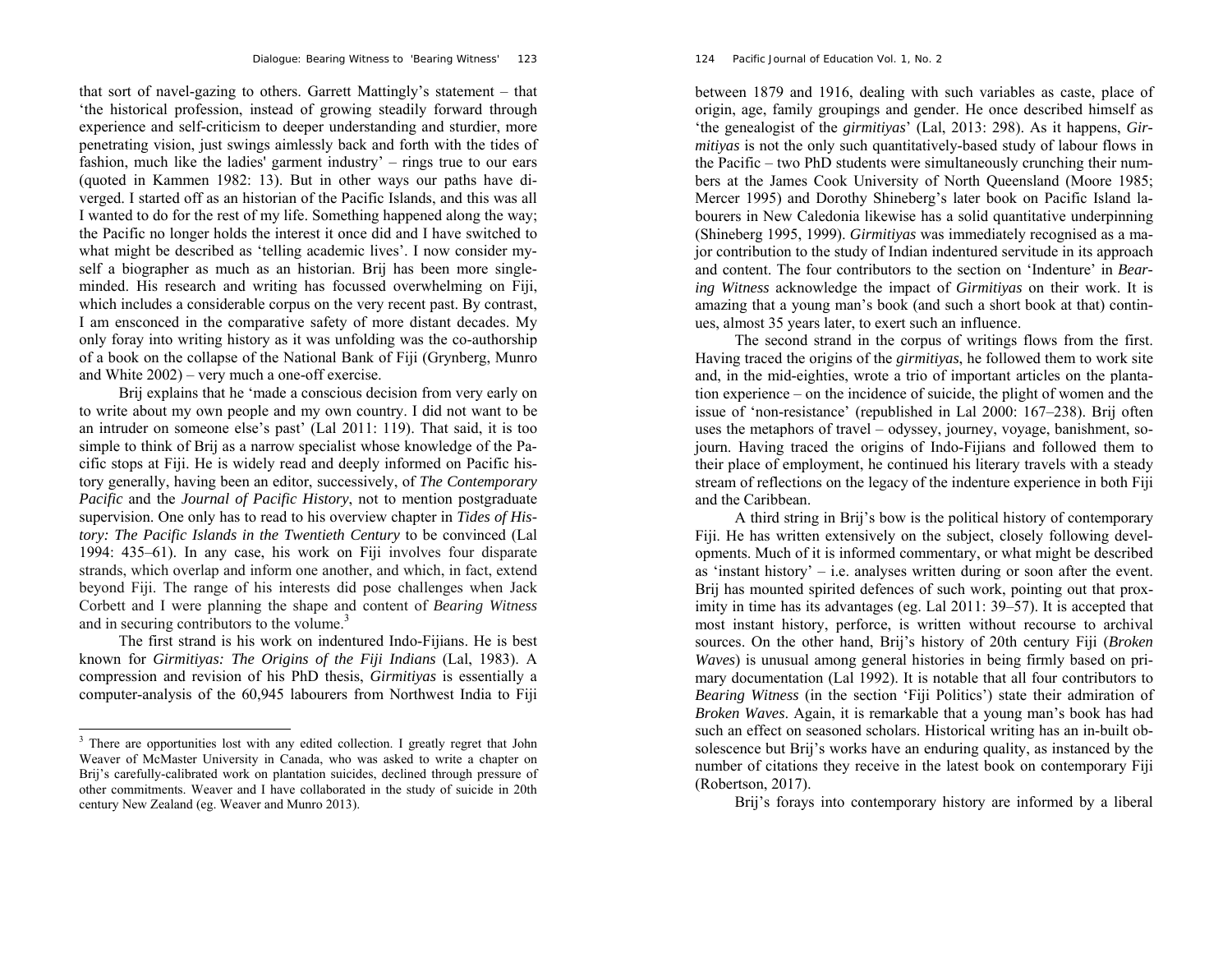that sort of navel-gazing to others. Garrett Mattingly's statement – that 'the historical profession, instead of growing steadily forward through experience and self-criticism to deeper understanding and sturdier, more penetrating vision, just swings aimlessly back and forth with the tides of fashion, much like the ladies' garment industry' – rings true to our ears (quoted in Kammen 1982: 13). But in other ways our paths have diverged. I started off as an historian of the Pacific Islands, and this was all I wanted to do for the rest of my life. Something happened along the way; the Pacific no longer holds the interest it once did and I have switched to what might be described as 'telling academic lives'. I now consider myself a biographer as much as an historian. Brij has been more singleminded. His research and writing has focussed overwhelming on Fiji, which includes a considerable corpus on the very recent past. By contrast, I am ensconced in the comparative safety of more distant decades. My only foray into writing history as it was unfolding was the co-authorship of a book on the collapse of the National Bank of Fiji (Grynberg, Munro and White 2002) – very much a one-off exercise.

Brij explains that he 'made a conscious decision from very early on to write about my own people and my own country. I did not want to be an intruder on someone else's past' (Lal 2011: 119). That said, it is too simple to think of Brij as a narrow specialist whose knowledge of the Pacific stops at Fiji. He is widely read and deeply informed on Pacific history generally, having been an editor, successively, of *The Contemporary Pacific* and the *Journal of Pacific History*, not to mention postgraduate supervision. One only has to read to his overview chapter in *Tides of History: The Pacific Islands in the Twentieth Century* to be convinced (Lal 1994: 435–61). In any case, his work on Fiji involves four disparate strands, which overlap and inform one another, and which, in fact, extend beyond Fiji. The range of his interests did pose challenges when Jack Corbett and I were planning the shape and content of *Bearing Witness* and in securing contributors to the volume.<sup>3</sup>

The first strand is his work on indentured Indo-Fijians. He is best known for *Girmitiyas: The Origins of the Fiji Indians* (Lal, 1983). A compression and revision of his PhD thesis, *Girmitiyas* is essentially a computer-analysis of the 60,945 labourers from Northwest India to Fiji

#### 124 *Pacific Journal of Education Vol. 1, No. 2*

between 1879 and 1916, dealing with such variables as caste, place of origin, age, family groupings and gender. He once described himself as 'the genealogist of the *girmitiyas*' (Lal, 2013: 298). As it happens, *Girmitiyas* is not the only such quantitatively-based study of labour flows in the Pacific – two PhD students were simultaneously crunching their numbers at the James Cook University of North Queensland (Moore 1985; Mercer 1995) and Dorothy Shineberg's later book on Pacific Island labourers in New Caledonia likewise has a solid quantitative underpinning (Shineberg 1995, 1999). *Girmitiyas* was immediately recognised as a major contribution to the study of Indian indentured servitude in its approach and content. The four contributors to the section on 'Indenture' in *Bearing Witness* acknowledge the impact of *Girmitiyas* on their work. It is amazing that a young man's book (and such a short book at that) continues, almost 35 years later, to exert such an influence.

The second strand in the corpus of writings flows from the first. Having traced the origins of the *girmitiyas*, he followed them to work site and, in the mid-eighties, wrote a trio of important articles on the plantation experience – on the incidence of suicide, the plight of women and the issue of 'non-resistance' (republished in Lal 2000: 167–238). Brij often uses the metaphors of travel – odyssey, journey, voyage, banishment, sojourn. Having traced the origins of Indo-Fijians and followed them to their place of employment, he continued his literary travels with a steady stream of reflections on the legacy of the indenture experience in both Fiji and the Caribbean.

A third string in Brij's bow is the political history of contemporary Fiji. He has written extensively on the subject, closely following developments. Much of it is informed commentary, or what might be described as 'instant history' – i.e. analyses written during or soon after the event. Brij has mounted spirited defences of such work, pointing out that proximity in time has its advantages (eg. Lal 2011: 39–57). It is accepted that most instant history, perforce, is written without recourse to archival sources. On the other hand, Brij's history of 20th century Fiji (*Broken Waves*) is unusual among general histories in being firmly based on primary documentation (Lal 1992). It is notable that all four contributors to *Bearing Witness* (in the section 'Fiji Politics') state their admiration of *Broken Waves*. Again, it is remarkable that a young man's book has had such an effect on seasoned scholars. Historical writing has an in-built obsolescence but Brij's works have an enduring quality, as instanced by the number of citations they receive in the latest book on contemporary Fiji (Robertson, 2017).

Brij's forays into contemporary history are informed by a liberal

<sup>&</sup>lt;sup>3</sup> There are opportunities lost with any edited collection. I greatly regret that John Weaver of McMaster University in Canada, who was asked to write a chapter on Brij's carefully-calibrated work on plantation suicides, declined through pressure of other commitments. Weaver and I have collaborated in the study of suicide in 20th century New Zealand (eg. Weaver and Munro 2013).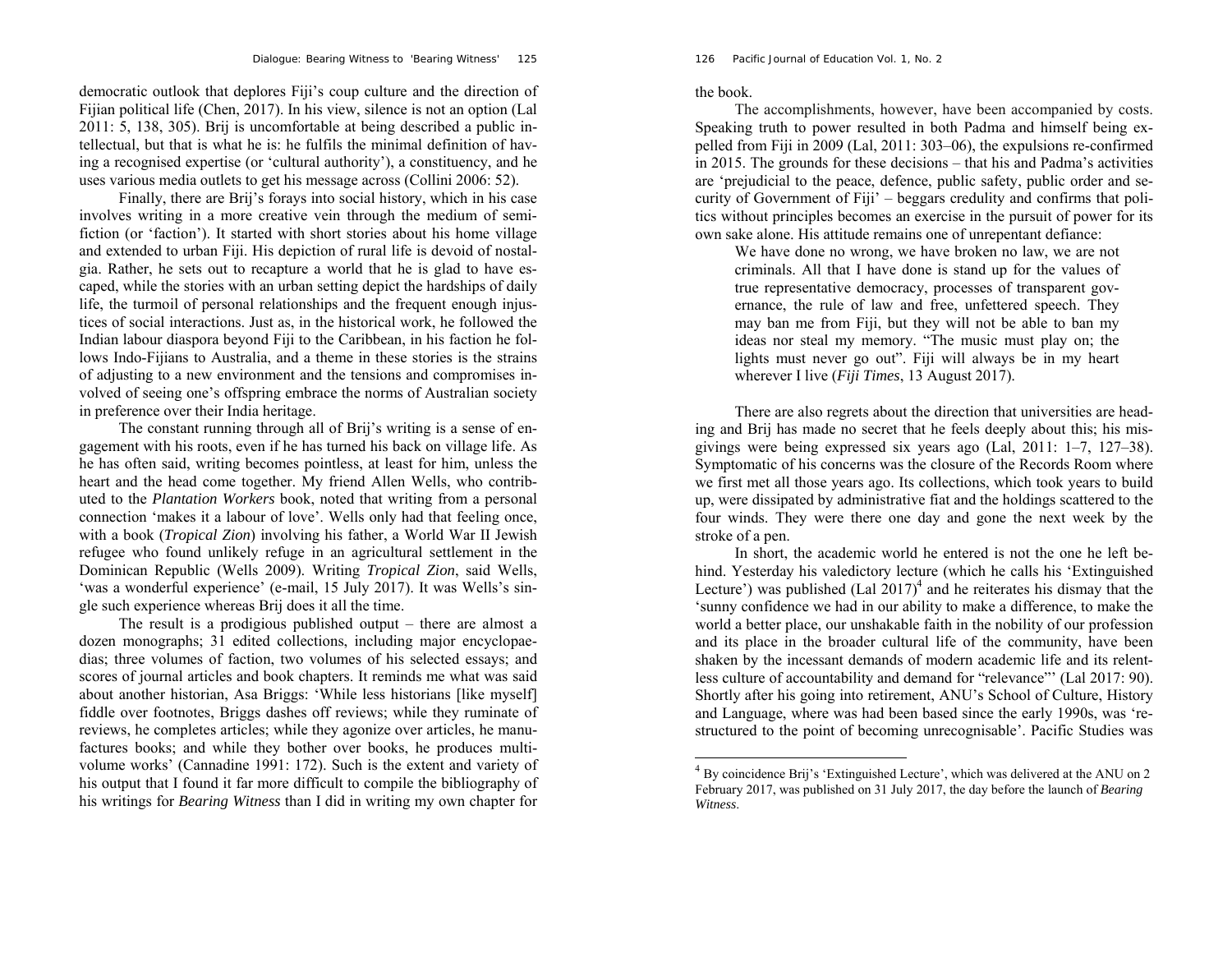126 *Pacific Journal of Education Vol. 1, No. 2* 

democratic outlook that deplores Fiji's coup culture and the direction of Fijian political life (Chen, 2017). In his view, silence is not an option (Lal 2011: 5, 138, 305). Brij is uncomfortable at being described a public intellectual, but that is what he is: he fulfils the minimal definition of having a recognised expertise (or 'cultural authority'), a constituency, and he uses various media outlets to get his message across (Collini 2006: 52).

Finally, there are Brij's forays into social history, which in his case involves writing in a more creative vein through the medium of semifiction (or 'faction'). It started with short stories about his home village and extended to urban Fiji. His depiction of rural life is devoid of nostalgia. Rather, he sets out to recapture a world that he is glad to have escaped, while the stories with an urban setting depict the hardships of daily life, the turmoil of personal relationships and the frequent enough injustices of social interactions. Just as, in the historical work, he followed the Indian labour diaspora beyond Fiji to the Caribbean, in his faction he follows Indo-Fijians to Australia, and a theme in these stories is the strains of adjusting to a new environment and the tensions and compromises involved of seeing one's offspring embrace the norms of Australian society in preference over their India heritage.

The constant running through all of Brij's writing is a sense of engagement with his roots, even if he has turned his back on village life. As he has often said, writing becomes pointless, at least for him, unless the heart and the head come together. My friend Allen Wells, who contributed to the *Plantation Workers* book, noted that writing from a personal connection 'makes it a labour of love'. Wells only had that feeling once, with a book (*Tropical Zion*) involving his father, a World War II Jewish refugee who found unlikely refuge in an agricultural settlement in the Dominican Republic (Wells 2009). Writing *Tropical Zion*, said Wells, 'was a wonderful experience' (e-mail, 15 July 2017). It was Wells's single such experience whereas Brij does it all the time.

The result is a prodigious published output – there are almost a dozen monographs; 31 edited collections, including major encyclopaedias; three volumes of faction, two volumes of his selected essays; and scores of journal articles and book chapters. It reminds me what was said about another historian, Asa Briggs: 'While less historians [like myself] fiddle over footnotes, Briggs dashes off reviews; while they ruminate of reviews, he completes articles; while they agonize over articles, he manufactures books; and while they bother over books, he produces multivolume works' (Cannadine 1991: 172). Such is the extent and variety of his output that I found it far more difficult to compile the bibliography of his writings for *Bearing Witness* than I did in writing my own chapter for the book.

The accomplishments, however, have been accompanied by costs. Speaking truth to power resulted in both Padma and himself being expelled from Fiji in 2009 (Lal, 2011: 303–06), the expulsions re-confirmed in 2015. The grounds for these decisions – that his and Padma's activities are 'prejudicial to the peace, defence, public safety, public order and security of Government of Fiji' – beggars credulity and confirms that politics without principles becomes an exercise in the pursuit of power for its own sake alone. His attitude remains one of unrepentant defiance:

We have done no wrong, we have broken no law, we are not criminals. All that I have done is stand up for the values of true representative democracy, processes of transparent governance, the rule of law and free, unfettered speech. They may ban me from Fiji, but they will not be able to ban my ideas nor steal my memory. "The music must play on; the lights must never go out". Fiji will always be in my heart wherever I live (*Fiji Times*, 13 August 2017).

There are also regrets about the direction that universities are heading and Brij has made no secret that he feels deeply about this; his misgivings were being expressed six years ago (Lal, 2011: 1–7, 127–38). Symptomatic of his concerns was the closure of the Records Room where we first met all those years ago. Its collections, which took years to build up, were dissipated by administrative fiat and the holdings scattered to the four winds. They were there one day and gone the next week by the stroke of a pen.

In short, the academic world he entered is not the one he left behind. Yesterday his valedictory lecture (which he calls his 'Extinguished Lecture') was published (Lal  $2017$ <sup>4</sup> and he reiterates his dismay that the 'sunny confidence we had in our ability to make a difference, to make the world a better place, our unshakable faith in the nobility of our profession and its place in the broader cultural life of the community, have been shaken by the incessant demands of modern academic life and its relentless culture of accountability and demand for "relevance"' (Lal 2017: 90). Shortly after his going into retirement, ANU's School of Culture, History and Language, where was had been based since the early 1990s, was 'restructured to the point of becoming unrecognisable'. Pacific Studies was

 $4$  By coincidence Brij's 'Extinguished Lecture', which was delivered at the ANU on 2 February 2017, was published on 31 July 2017, the day before the launch of *Bearing Witness*.